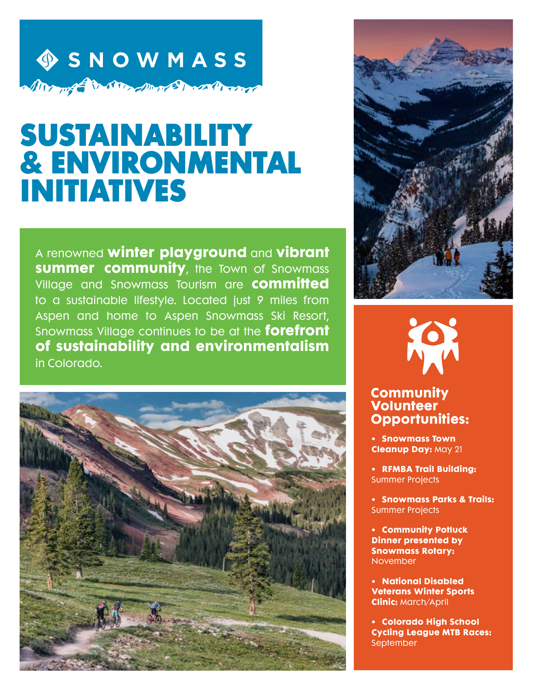## **OSNOWMASS** Alle med to strand work and the world

# SUSTAINABILITY & ENVIRONMENTAL INITIATIVES

A renowned **winter playground** and **vibrant summer community**, the Town of Snowmass Village and Snowmass Tourism are **committed** to a sustainable lifestyle. Located just 9 miles from Aspen and home to Aspen Snowmass Ski Resort, Snowmass Village continues to be at the **forefront of sustainability and environmentalism** in Colorado.





#### **Community Volunteer Opportunities:**

- **• Snowmass Town Cleanup Day:** May 21
- **• RFMBA Trail Building:**  Summer Projects
- **• Snowmass Parks & Trails:**  Summer Projects
- **• Community Potluck Dinner presented by Snowmass Rotary:** November
- **• National Disabled Veterans Winter Sports Clinic:** March/April
- **• Colorado High School Cycling League MTB Races:**  September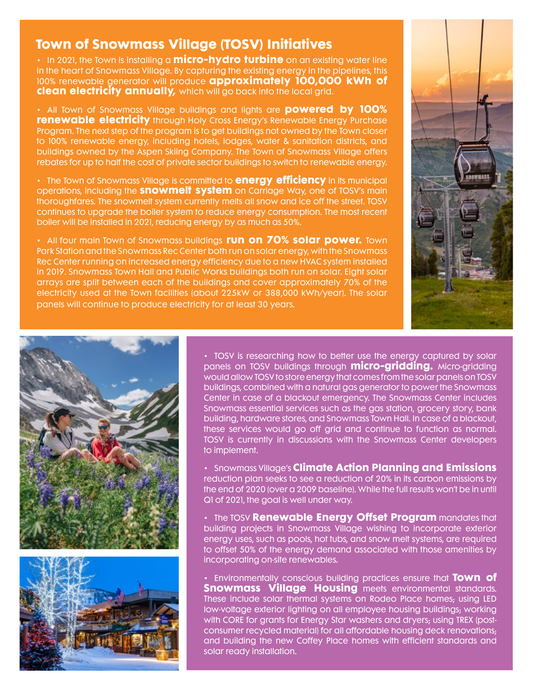#### **Town of Snowmass Village (TOSV) Initiatives**

• In 2021, the Town is installing a **micro-hydro turbine** on an existing water line in the heart of Snowmass Village. By capturing the existing energy in the pipelines, this 100% renewable generator will produce **approximately 100,000 kWh of clean electricity annually,** which will go back into the local grid.

• All Town of Snowmass Village buildings and lights are **powered by 100% renewable electricity** through Holy Cross Energy's Renewable Energy Purchase Program. The next step of the program is to get buildings not owned by the Town closer to 100% renewable energy, including hotels, lodges, water & sanitation districts, and buildings owned by the Aspen Skiing Company. The Town of Snowmass Village offers rebates for up to half the cost of private sector buildings to switch to renewable energy.

• The Town of Snowmass Village is committed to **energy efficiency** in its municipal operations, including the **snowmelt system** on Carriage Way, one of TOSV's main thoroughfares. The snowmelt system currently melts all snow and ice off the street. TOSV continues to upgrade the boiler system to reduce energy consumption. The most recent boiler will be installed in 2021, reducing energy by as much as 50%.

• All four main Town of Snowmass buildings **run on 70% solar power.** Town Park Station and the Snowmass Rec Center both run on solar energy, with the Snowmass Rec Center running on increased energy efficiency due to a new HVAC system installed in 2019. Snowmass Town Hall and Public Works buildings both run on solar. Eight solar arrays are split between each of the buildings and cover approximately 70% of the electricity used at the Town facilities (about 225kW or 388,000 kWh/year). The solar panels will continue to produce electricity for at least 30 years.







• TOSV is researching how to better use the energy captured by solar panels on TOSV buildings through **micro-gridding.** Micro-gridding would allow TOSV to store energy that comes from the solar panels on TOSV buildings, combined with a natural gas generator to power the Snowmass Center in case of a blackout emergency. The Snowmass Center includes Snowmass essential services such as the gas station, grocery story, bank building, hardware stores, and Snowmass Town Hall. In case of a blackout, these services would go off grid and continue to function as normal. TOSV is currently in discussions with the Snowmass Center developers to implement.

• Snowmass Village's **Climate Action Planning and Emissions** reduction plan seeks to see a reduction of 20% in its carbon emissions by the end of 2020 (over a 2009 baseline). While the full results won't be in until Q1 of 2021, the goal is well under way.

• The TOSV **Renewable Energy Offset Program** mandates that building projects in Snowmass Village wishing to incorporate exterior energy uses, such as pools, hot tubs, and snow melt systems, are required to offset 50% of the energy demand associated with those amenities by incorporating on-site renewables.

• Environmentally conscious building practices ensure that **Town of Snowmass Village Housing** meets environmental standards. These include solar thermal systems on Rodeo Place homes; using LED low-voltage exterior lighting on all employee housing buildings; working with CORE for grants for Energy Star washers and dryers; using TREX (postconsumer recycled material) for all affordable housing deck renovations; and building the new Coffey Place homes with efficient standards and solar ready installation.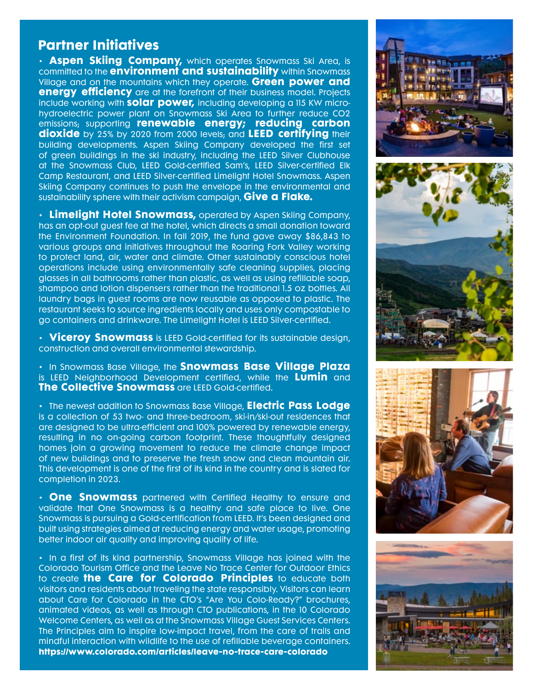#### **Partner Initiatives**

• **[Aspen Skiing Company,](https://www.aspensnowmass.com/)** which operates Snowmass Ski Area, is committed to the **[environment and sustainability](https://www.aspensnowmass.com/we-are-different/programs-and-practices/green-operations)** within Snowmass Village and on the mountains which they operate. **Green power and energy efficiency** are at the forefront of their business model. Projects include working with **solar power,** including developing a 115 KW microhydroelectric power plant on Snowmass Ski Area to further reduce CO2 emissions; supporting **renewable energy; reducing carbon dioxide** by 25% by 2020 from 2000 levels; and **LEED certifying** their building developments. Aspen Skiing Company developed the first set of green buildings in the ski industry, including the LEED Silver Clubhouse at the Snowmass Club, LEED Gold-certified Sam's, LEED Silver-certified Elk Camp Restaurant, and LEED Silver-certified Limelight Hotel Snowmass. Aspen Skiing Company continues to push the envelope in the environmental and sustainability sphere with their activism campaign, **[Give a Flake.](https://www.aspensnowmass.com/inside-aspen-snowmass/give-a-flake)** 

• **Limelight Hotel Snowmass,** operated by Aspen Skiing Company, has an opt-out guest fee at the hotel, which directs a small donation toward the Environment Foundation. In fall 2019, the fund gave away \$86,843 to various groups and initiatives throughout the Roaring Fork Valley working to protect land, air, water and climate. Other sustainably conscious hotel operations include using environmentally safe cleaning supplies, placing glasses in all bathrooms rather than plastic, as well as using refillable soap, shampoo and lotion dispensers rather than the traditional 1.5 oz bottles. All laundry bags in guest rooms are now reusable as opposed to plastic. The restaurant seeks to source ingredients locally and uses only compostable to go containers and drinkware. The Limelight Hotel is LEED Silver-certified.

• **Viceroy Snowmass** is LEED Gold-certified for its sustainable design, construction and overall environmental stewardship.

• In Snowmass Base Village, the **Snowmass Base Village Plaza** is LEED Neighborhood Development certified, while the **Lumin** and **The Collective Snowmass** are LEED Gold-certified.

• The newest addition to Snowmass Base Village, **Electric Pass Lodge** is a collection of 53 two- and three-bedroom, ski-in/ski-out residences that are designed to be ultra-efficient and 100% powered by renewable energy, resulting in no on-going carbon footprint. These thoughtfully designed homes join a growing movement to reduce the climate change impact of new buildings and to preserve the fresh snow and clean mountain air. This development is one of the first of its kind in the country and is slated for completion in 2023.

• **One Snowmass** partnered with Certified Healthy to ensure and validate that One Snowmass is a healthy and safe place to live. One Snowmass is pursuing a Gold-certification from LEED. It's been designed and built using strategies aimed at reducing energy and water usage, promoting better indoor air quality and improving quality of life.

• In a first of its kind partnership, Snowmass Village has joined with the Colorado Tourism Office and the Leave No Trace Center for Outdoor Ethics to create **the Care for Colorado Principles** to educate both visitors and residents about traveling the state responsibly. Visitors can learn about Care for Colorado in the CTO's "Are You Colo-Ready?" brochures, animated videos, as well as through CTO publications, in the 10 Colorado Welcome Centers, as well as at the Snowmass Village Guest Services Centers. The Principles aim to inspire low-impact travel, from the care of trails and mindful interaction with wildlife to the use of refillable beverage containers. **[https://www.colorado.com/articles/leave-no-trace-care-colorado](https://www.colorado.com/articles/leave-no-trace-care-colorado )**